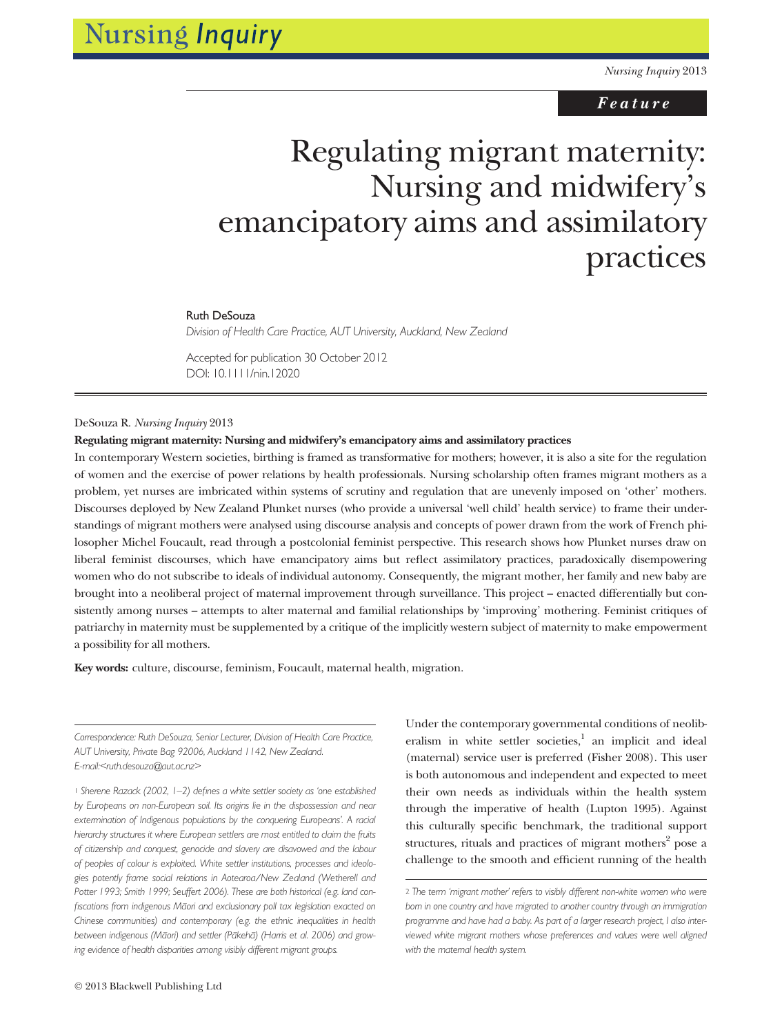#### Feature

# Regulating migrant maternity: Nursing and midwifery's emancipatory aims and assimilatory practices

#### Ruth DeSouza

Division of Health Care Practice, AUT University, Auckland, New Zealand

Accepted for publication 30 October 2012 DOI: 10.1111/nin.12020

#### DeSouza R. Nursing Inquiry 2013

#### Regulating migrant maternity: Nursing and midwifery's emancipatory aims and assimilatory practices

In contemporary Western societies, birthing is framed as transformative for mothers; however, it is also a site for the regulation of women and the exercise of power relations by health professionals. Nursing scholarship often frames migrant mothers as a problem, yet nurses are imbricated within systems of scrutiny and regulation that are unevenly imposed on 'other' mothers. Discourses deployed by New Zealand Plunket nurses (who provide a universal 'well child' health service) to frame their understandings of migrant mothers were analysed using discourse analysis and concepts of power drawn from the work of French philosopher Michel Foucault, read through a postcolonial feminist perspective. This research shows how Plunket nurses draw on liberal feminist discourses, which have emancipatory aims but reflect assimilatory practices, paradoxically disempowering women who do not subscribe to ideals of individual autonomy. Consequently, the migrant mother, her family and new baby are brought into a neoliberal project of maternal improvement through surveillance. This project – enacted differentially but consistently among nurses – attempts to alter maternal and familial relationships by 'improving' mothering. Feminist critiques of patriarchy in maternity must be supplemented by a critique of the implicitly western subject of maternity to make empowerment a possibility for all mothers.

Key words: culture, discourse, feminism, Foucault, maternal health, migration.

Correspondence: Ruth DeSouza, Senior Lecturer, Division of Health Care Practice, AUT University, Private Bag 92006, Auckland 1142, New Zealand. E-mail:<ruth.desouza@aut.ac.nz>

1 Sherene Razack (2002, 1–2) defines a white settler society as 'one established by Europeans on non-European soil. Its origins lie in the dispossession and near extermination of Indigenous populations by the conquering Europeans'. A racial hierarchy structures it where European settlers are most entitled to claim the fruits of citizenship and conquest, genocide and slavery are disavowed and the labour of peoples of colour is exploited. White settler institutions, processes and ideologies potently frame social relations in Aotearoa/New Zealand (Wetherell and Potter 1993; Smith 1999; Seuffert 2006). These are both historical (e.g. land confiscations from indigenous Māori and exclusionary poll tax legislation exacted on Chinese communities) and contemporary (e.g. the ethnic inequalities in health between indigenous (Māori) and settler (Pākehā) (Harris et al. 2006) and growing evidence of health disparities among visibly different migrant groups.

Under the contemporary governmental conditions of neoliberalism in white settler societies, $\frac{1}{1}$  an implicit and ideal (maternal) service user is preferred (Fisher 2008). This user is both autonomous and independent and expected to meet their own needs as individuals within the health system through the imperative of health (Lupton 1995). Against this culturally specific benchmark, the traditional support structures, rituals and practices of migrant mothers<sup>2</sup> pose a challenge to the smooth and efficient running of the health

<sup>2</sup> The term 'migrant mother' refers to visibly different non-white women who were born in one country and have migrated to another country through an immigration programme and have had a baby. As part of a larger research project, I also interviewed white migrant mothers whose preferences and values were well aligned with the maternal health system.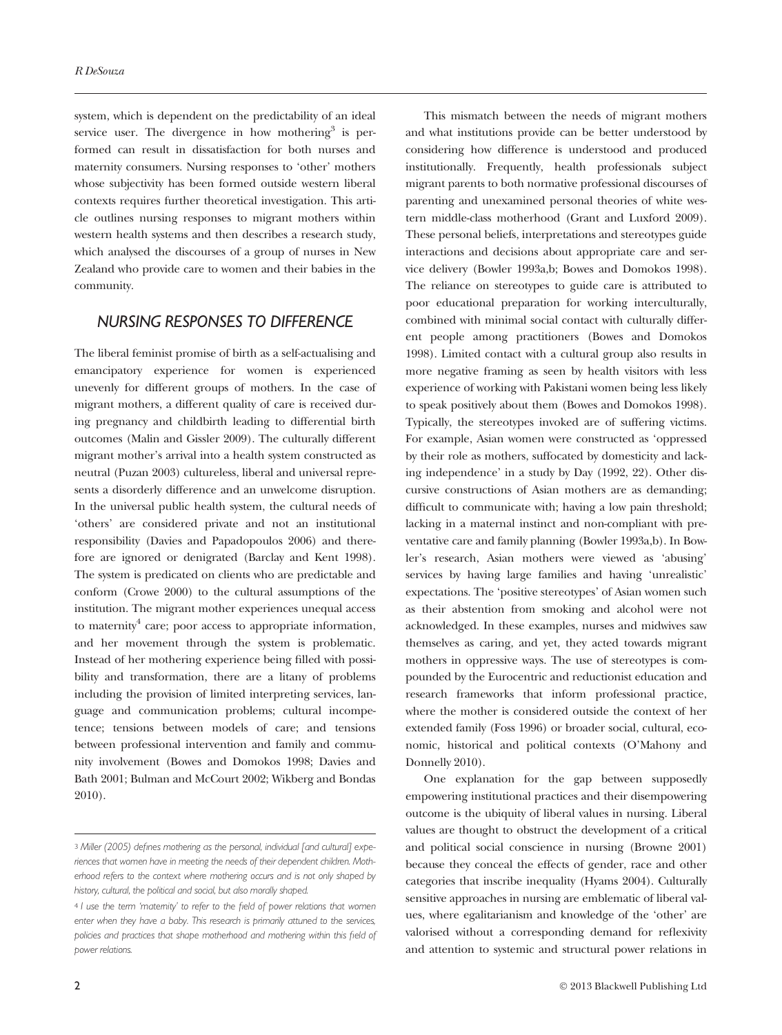system, which is dependent on the predictability of an ideal service user. The divergence in how mothering<sup>3</sup> is performed can result in dissatisfaction for both nurses and maternity consumers. Nursing responses to 'other' mothers whose subjectivity has been formed outside western liberal contexts requires further theoretical investigation. This article outlines nursing responses to migrant mothers within western health systems and then describes a research study, which analysed the discourses of a group of nurses in New Zealand who provide care to women and their babies in the community.

#### NURSING RESPONSES TO DIFFERENCE

The liberal feminist promise of birth as a self-actualising and emancipatory experience for women is experienced unevenly for different groups of mothers. In the case of migrant mothers, a different quality of care is received during pregnancy and childbirth leading to differential birth outcomes (Malin and Gissler 2009). The culturally different migrant mother's arrival into a health system constructed as neutral (Puzan 2003) cultureless, liberal and universal represents a disorderly difference and an unwelcome disruption. In the universal public health system, the cultural needs of 'others' are considered private and not an institutional responsibility (Davies and Papadopoulos 2006) and therefore are ignored or denigrated (Barclay and Kent 1998). The system is predicated on clients who are predictable and conform (Crowe 2000) to the cultural assumptions of the institution. The migrant mother experiences unequal access to maternity $4$  care; poor access to appropriate information, and her movement through the system is problematic. Instead of her mothering experience being filled with possibility and transformation, there are a litany of problems including the provision of limited interpreting services, language and communication problems; cultural incompetence; tensions between models of care; and tensions between professional intervention and family and community involvement (Bowes and Domokos 1998; Davies and Bath 2001; Bulman and McCourt 2002; Wikberg and Bondas 2010).

This mismatch between the needs of migrant mothers and what institutions provide can be better understood by considering how difference is understood and produced institutionally. Frequently, health professionals subject migrant parents to both normative professional discourses of parenting and unexamined personal theories of white western middle-class motherhood (Grant and Luxford 2009). These personal beliefs, interpretations and stereotypes guide interactions and decisions about appropriate care and service delivery (Bowler 1993a,b; Bowes and Domokos 1998). The reliance on stereotypes to guide care is attributed to poor educational preparation for working interculturally, combined with minimal social contact with culturally different people among practitioners (Bowes and Domokos 1998). Limited contact with a cultural group also results in more negative framing as seen by health visitors with less experience of working with Pakistani women being less likely to speak positively about them (Bowes and Domokos 1998). Typically, the stereotypes invoked are of suffering victims. For example, Asian women were constructed as 'oppressed by their role as mothers, suffocated by domesticity and lacking independence' in a study by Day (1992, 22). Other discursive constructions of Asian mothers are as demanding; difficult to communicate with; having a low pain threshold; lacking in a maternal instinct and non-compliant with preventative care and family planning (Bowler 1993a,b). In Bowler's research, Asian mothers were viewed as 'abusing' services by having large families and having 'unrealistic' expectations. The 'positive stereotypes' of Asian women such as their abstention from smoking and alcohol were not acknowledged. In these examples, nurses and midwives saw themselves as caring, and yet, they acted towards migrant mothers in oppressive ways. The use of stereotypes is compounded by the Eurocentric and reductionist education and research frameworks that inform professional practice, where the mother is considered outside the context of her extended family (Foss 1996) or broader social, cultural, economic, historical and political contexts (O'Mahony and Donnelly 2010).

One explanation for the gap between supposedly empowering institutional practices and their disempowering outcome is the ubiquity of liberal values in nursing. Liberal values are thought to obstruct the development of a critical and political social conscience in nursing (Browne 2001) because they conceal the effects of gender, race and other categories that inscribe inequality (Hyams 2004). Culturally sensitive approaches in nursing are emblematic of liberal values, where egalitarianism and knowledge of the 'other' are valorised without a corresponding demand for reflexivity and attention to systemic and structural power relations in

<sup>3</sup> Miller (2005) defines mothering as the personal, individual [and cultural] experiences that women have in meeting the needs of their dependent children. Motherhood refers to the context where mothering occurs and is not only shaped by history, cultural, the political and social, but also morally shaped.

<sup>4</sup> I use the term 'matemity' to refer to the field of power relations that women enter when they have a baby. This research is primarily attuned to the services, policies and practices that shape motherhood and mothering within this field of power relations.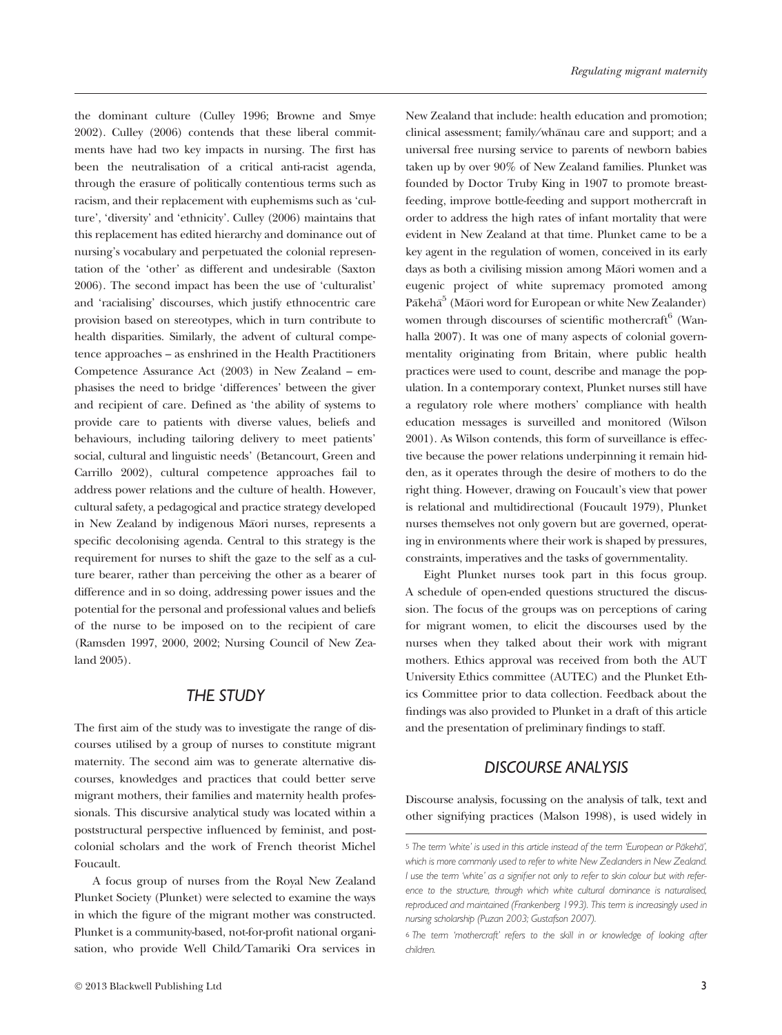the dominant culture (Culley 1996; Browne and Smye 2002). Culley (2006) contends that these liberal commitments have had two key impacts in nursing. The first has been the neutralisation of a critical anti-racist agenda, through the erasure of politically contentious terms such as racism, and their replacement with euphemisms such as 'culture', 'diversity' and 'ethnicity'. Culley (2006) maintains that this replacement has edited hierarchy and dominance out of nursing's vocabulary and perpetuated the colonial representation of the 'other' as different and undesirable (Saxton 2006). The second impact has been the use of 'culturalist' and 'racialising' discourses, which justify ethnocentric care provision based on stereotypes, which in turn contribute to health disparities. Similarly, the advent of cultural competence approaches – as enshrined in the Health Practitioners Competence Assurance Act (2003) in New Zealand – emphasises the need to bridge 'differences' between the giver and recipient of care. Defined as 'the ability of systems to provide care to patients with diverse values, beliefs and behaviours, including tailoring delivery to meet patients' social, cultural and linguistic needs' (Betancourt, Green and Carrillo 2002), cultural competence approaches fail to address power relations and the culture of health. However, cultural safety, a pedagogical and practice strategy developed in New Zealand by indigenous Māori nurses, represents a specific decolonising agenda. Central to this strategy is the requirement for nurses to shift the gaze to the self as a culture bearer, rather than perceiving the other as a bearer of difference and in so doing, addressing power issues and the potential for the personal and professional values and beliefs of the nurse to be imposed on to the recipient of care (Ramsden 1997, 2000, 2002; Nursing Council of New Zealand 2005).

## THE STUDY

The first aim of the study was to investigate the range of discourses utilised by a group of nurses to constitute migrant maternity. The second aim was to generate alternative discourses, knowledges and practices that could better serve migrant mothers, their families and maternity health professionals. This discursive analytical study was located within a poststructural perspective influenced by feminist, and postcolonial scholars and the work of French theorist Michel Foucault.

A focus group of nurses from the Royal New Zealand Plunket Society (Plunket) were selected to examine the ways in which the figure of the migrant mother was constructed. Plunket is a community-based, not-for-profit national organisation, who provide Well Child/Tamariki Ora services in New Zealand that include: health education and promotion; clinical assessment; family/whānau care and support; and a universal free nursing service to parents of newborn babies taken up by over 90% of New Zealand families. Plunket was founded by Doctor Truby King in 1907 to promote breastfeeding, improve bottle-feeding and support mothercraft in order to address the high rates of infant mortality that were evident in New Zealand at that time. Plunket came to be a key agent in the regulation of women, conceived in its early days as both a civilising mission among Māori women and a eugenic project of white supremacy promoted among Pākehā<sup>5</sup> (Māori word for European or white New Zealander) women through discourses of scientific mothercraft<sup>6</sup> (Wanhalla 2007). It was one of many aspects of colonial governmentality originating from Britain, where public health practices were used to count, describe and manage the population. In a contemporary context, Plunket nurses still have a regulatory role where mothers' compliance with health education messages is surveilled and monitored (Wilson 2001). As Wilson contends, this form of surveillance is effective because the power relations underpinning it remain hidden, as it operates through the desire of mothers to do the right thing. However, drawing on Foucault's view that power is relational and multidirectional (Foucault 1979), Plunket nurses themselves not only govern but are governed, operating in environments where their work is shaped by pressures, constraints, imperatives and the tasks of governmentality.

Eight Plunket nurses took part in this focus group. A schedule of open-ended questions structured the discussion. The focus of the groups was on perceptions of caring for migrant women, to elicit the discourses used by the nurses when they talked about their work with migrant mothers. Ethics approval was received from both the AUT University Ethics committee (AUTEC) and the Plunket Ethics Committee prior to data collection. Feedback about the findings was also provided to Plunket in a draft of this article and the presentation of preliminary findings to staff.

#### DISCOURSE ANALYSIS

Discourse analysis, focussing on the analysis of talk, text and other signifying practices (Malson 1998), is used widely in

<sup>&</sup>lt;sup>5</sup> The term 'white' is used in this article instead of the term 'European or Pākehā', which is more commonly used to refer to white New Zealanders in New Zealand. I use the term 'white' as a signifier not only to refer to skin colour but with reference to the structure, through which white cultural dominance is naturalised, reproduced and maintained (Frankenberg 1993). This term is increasingly used in nursing scholarship (Puzan 2003; Gustafson 2007).

<sup>6</sup> The term 'mothercraft' refers to the skill in or knowledge of looking after children.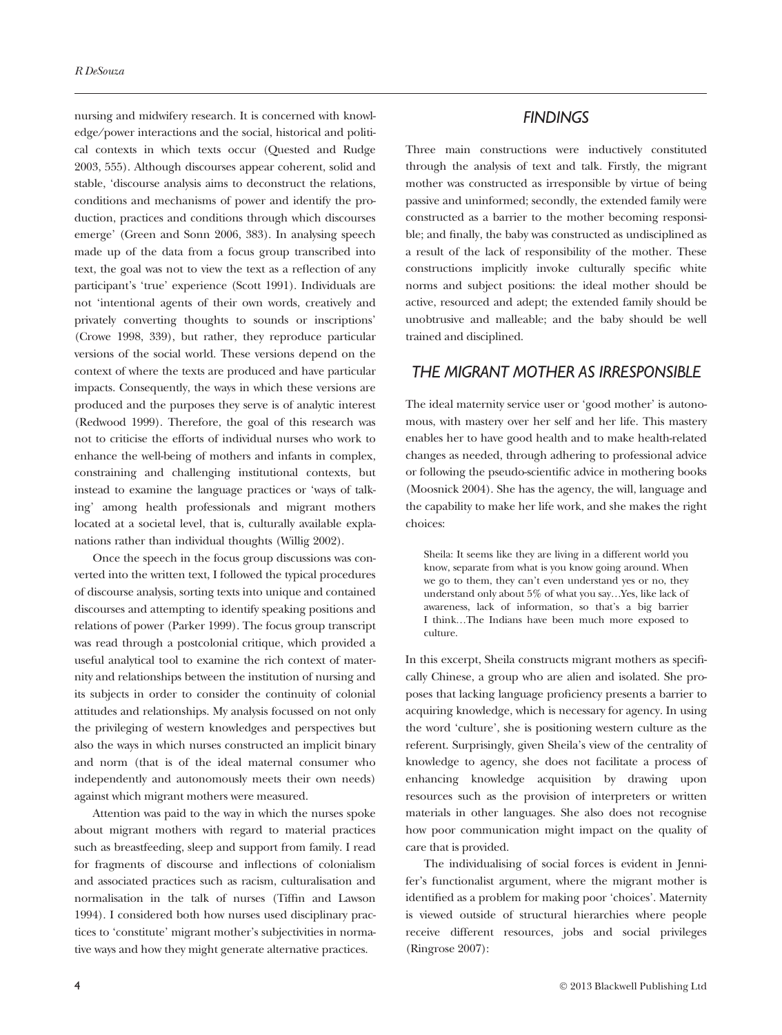nursing and midwifery research. It is concerned with knowledge ⁄power interactions and the social, historical and political contexts in which texts occur (Quested and Rudge 2003, 555). Although discourses appear coherent, solid and stable, 'discourse analysis aims to deconstruct the relations, conditions and mechanisms of power and identify the production, practices and conditions through which discourses emerge' (Green and Sonn 2006, 383). In analysing speech made up of the data from a focus group transcribed into text, the goal was not to view the text as a reflection of any participant's 'true' experience (Scott 1991). Individuals are not 'intentional agents of their own words, creatively and privately converting thoughts to sounds or inscriptions' (Crowe 1998, 339), but rather, they reproduce particular versions of the social world. These versions depend on the context of where the texts are produced and have particular impacts. Consequently, the ways in which these versions are produced and the purposes they serve is of analytic interest (Redwood 1999). Therefore, the goal of this research was not to criticise the efforts of individual nurses who work to enhance the well-being of mothers and infants in complex, constraining and challenging institutional contexts, but instead to examine the language practices or 'ways of talking' among health professionals and migrant mothers located at a societal level, that is, culturally available explanations rather than individual thoughts (Willig 2002).

Once the speech in the focus group discussions was converted into the written text, I followed the typical procedures of discourse analysis, sorting texts into unique and contained discourses and attempting to identify speaking positions and relations of power (Parker 1999). The focus group transcript was read through a postcolonial critique, which provided a useful analytical tool to examine the rich context of maternity and relationships between the institution of nursing and its subjects in order to consider the continuity of colonial attitudes and relationships. My analysis focussed on not only the privileging of western knowledges and perspectives but also the ways in which nurses constructed an implicit binary and norm (that is of the ideal maternal consumer who independently and autonomously meets their own needs) against which migrant mothers were measured.

Attention was paid to the way in which the nurses spoke about migrant mothers with regard to material practices such as breastfeeding, sleep and support from family. I read for fragments of discourse and inflections of colonialism and associated practices such as racism, culturalisation and normalisation in the talk of nurses (Tiffin and Lawson 1994). I considered both how nurses used disciplinary practices to 'constitute' migrant mother's subjectivities in normative ways and how they might generate alternative practices.

## **FINDINGS**

Three main constructions were inductively constituted through the analysis of text and talk. Firstly, the migrant mother was constructed as irresponsible by virtue of being passive and uninformed; secondly, the extended family were constructed as a barrier to the mother becoming responsible; and finally, the baby was constructed as undisciplined as a result of the lack of responsibility of the mother. These constructions implicitly invoke culturally specific white norms and subject positions: the ideal mother should be active, resourced and adept; the extended family should be unobtrusive and malleable; and the baby should be well trained and disciplined.

### THE MIGRANT MOTHER AS IRRESPONSIBLE

The ideal maternity service user or 'good mother' is autonomous, with mastery over her self and her life. This mastery enables her to have good health and to make health-related changes as needed, through adhering to professional advice or following the pseudo-scientific advice in mothering books (Moosnick 2004). She has the agency, the will, language and the capability to make her life work, and she makes the right choices:

Sheila: It seems like they are living in a different world you know, separate from what is you know going around. When we go to them, they can't even understand yes or no, they understand only about 5% of what you say…Yes, like lack of awareness, lack of information, so that's a big barrier I think…The Indians have been much more exposed to culture.

In this excerpt, Sheila constructs migrant mothers as specifically Chinese, a group who are alien and isolated. She proposes that lacking language proficiency presents a barrier to acquiring knowledge, which is necessary for agency. In using the word 'culture', she is positioning western culture as the referent. Surprisingly, given Sheila's view of the centrality of knowledge to agency, she does not facilitate a process of enhancing knowledge acquisition by drawing upon resources such as the provision of interpreters or written materials in other languages. She also does not recognise how poor communication might impact on the quality of care that is provided.

The individualising of social forces is evident in Jennifer's functionalist argument, where the migrant mother is identified as a problem for making poor 'choices'. Maternity is viewed outside of structural hierarchies where people receive different resources, jobs and social privileges (Ringrose 2007):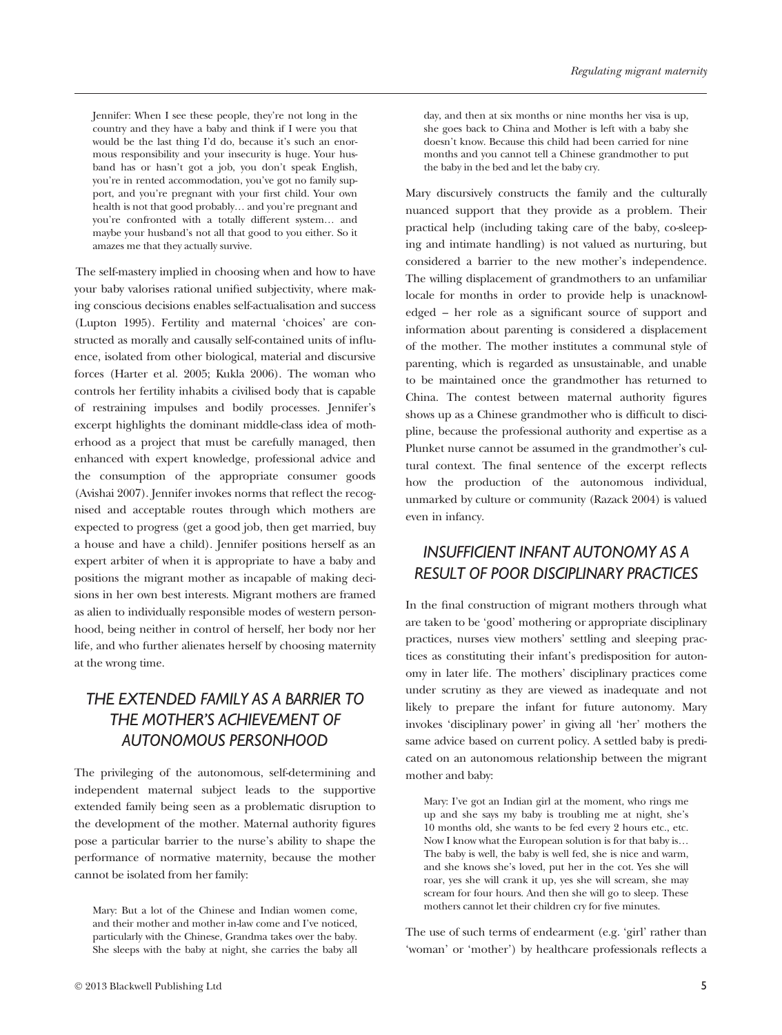Jennifer: When I see these people, they're not long in the country and they have a baby and think if I were you that would be the last thing I'd do, because it's such an enormous responsibility and your insecurity is huge. Your husband has or hasn't got a job, you don't speak English, you're in rented accommodation, you've got no family support, and you're pregnant with your first child. Your own health is not that good probably… and you're pregnant and you're confronted with a totally different system… and maybe your husband's not all that good to you either. So it amazes me that they actually survive.

The self-mastery implied in choosing when and how to have your baby valorises rational unified subjectivity, where making conscious decisions enables self-actualisation and success (Lupton 1995). Fertility and maternal 'choices' are constructed as morally and causally self-contained units of influence, isolated from other biological, material and discursive forces (Harter et al. 2005; Kukla 2006). The woman who controls her fertility inhabits a civilised body that is capable of restraining impulses and bodily processes. Jennifer's excerpt highlights the dominant middle-class idea of motherhood as a project that must be carefully managed, then enhanced with expert knowledge, professional advice and the consumption of the appropriate consumer goods (Avishai 2007). Jennifer invokes norms that reflect the recognised and acceptable routes through which mothers are expected to progress (get a good job, then get married, buy a house and have a child). Jennifer positions herself as an expert arbiter of when it is appropriate to have a baby and positions the migrant mother as incapable of making decisions in her own best interests. Migrant mothers are framed as alien to individually responsible modes of western personhood, being neither in control of herself, her body nor her life, and who further alienates herself by choosing maternity at the wrong time.

# THE EXTENDED FAMILY AS A BARRIER TO THE MOTHER'S ACHIEVEMENT OF AUTONOMOUS PERSONHOOD

The privileging of the autonomous, self-determining and independent maternal subject leads to the supportive extended family being seen as a problematic disruption to the development of the mother. Maternal authority figures pose a particular barrier to the nurse's ability to shape the performance of normative maternity, because the mother cannot be isolated from her family:

Mary: But a lot of the Chinese and Indian women come, and their mother and mother in-law come and I've noticed, particularly with the Chinese, Grandma takes over the baby. She sleeps with the baby at night, she carries the baby all day, and then at six months or nine months her visa is up, she goes back to China and Mother is left with a baby she doesn't know. Because this child had been carried for nine months and you cannot tell a Chinese grandmother to put the baby in the bed and let the baby cry.

Mary discursively constructs the family and the culturally nuanced support that they provide as a problem. Their practical help (including taking care of the baby, co-sleeping and intimate handling) is not valued as nurturing, but considered a barrier to the new mother's independence. The willing displacement of grandmothers to an unfamiliar locale for months in order to provide help is unacknowledged – her role as a significant source of support and information about parenting is considered a displacement of the mother. The mother institutes a communal style of parenting, which is regarded as unsustainable, and unable to be maintained once the grandmother has returned to China. The contest between maternal authority figures shows up as a Chinese grandmother who is difficult to discipline, because the professional authority and expertise as a Plunket nurse cannot be assumed in the grandmother's cultural context. The final sentence of the excerpt reflects how the production of the autonomous individual, unmarked by culture or community (Razack 2004) is valued even in infancy.

# INSUFFICIENT INFANT AUTONOMY AS A RESULT OF POOR DISCIPLINARY PRACTICES

In the final construction of migrant mothers through what are taken to be 'good' mothering or appropriate disciplinary practices, nurses view mothers' settling and sleeping practices as constituting their infant's predisposition for autonomy in later life. The mothers' disciplinary practices come under scrutiny as they are viewed as inadequate and not likely to prepare the infant for future autonomy. Mary invokes 'disciplinary power' in giving all 'her' mothers the same advice based on current policy. A settled baby is predicated on an autonomous relationship between the migrant mother and baby:

Mary: I've got an Indian girl at the moment, who rings me up and she says my baby is troubling me at night, she's 10 months old, she wants to be fed every 2 hours etc., etc. Now I know what the European solution is for that baby is… The baby is well, the baby is well fed, she is nice and warm, and she knows she's loved, put her in the cot. Yes she will roar, yes she will crank it up, yes she will scream, she may scream for four hours. And then she will go to sleep. These mothers cannot let their children cry for five minutes.

The use of such terms of endearment (e.g. 'girl' rather than 'woman' or 'mother') by healthcare professionals reflects a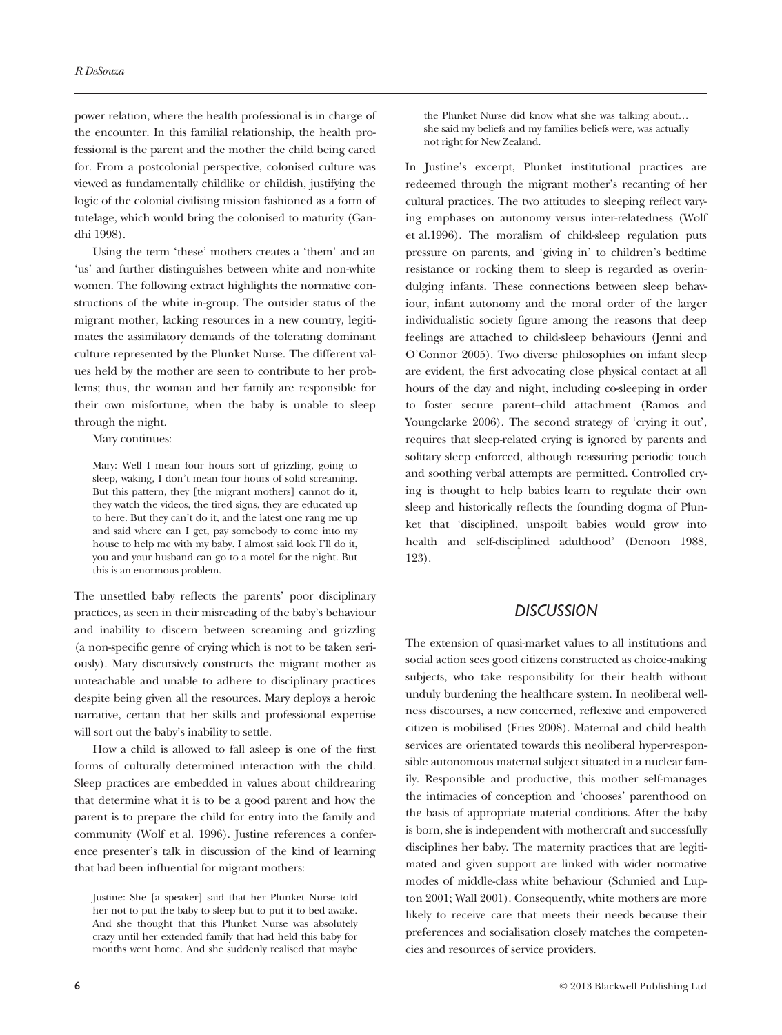power relation, where the health professional is in charge of the encounter. In this familial relationship, the health professional is the parent and the mother the child being cared for. From a postcolonial perspective, colonised culture was viewed as fundamentally childlike or childish, justifying the logic of the colonial civilising mission fashioned as a form of tutelage, which would bring the colonised to maturity (Gandhi 1998).

Using the term 'these' mothers creates a 'them' and an 'us' and further distinguishes between white and non-white women. The following extract highlights the normative constructions of the white in-group. The outsider status of the migrant mother, lacking resources in a new country, legitimates the assimilatory demands of the tolerating dominant culture represented by the Plunket Nurse. The different values held by the mother are seen to contribute to her problems; thus, the woman and her family are responsible for their own misfortune, when the baby is unable to sleep through the night.

Mary continues:

Mary: Well I mean four hours sort of grizzling, going to sleep, waking, I don't mean four hours of solid screaming. But this pattern, they [the migrant mothers] cannot do it, they watch the videos, the tired signs, they are educated up to here. But they can't do it, and the latest one rang me up and said where can I get, pay somebody to come into my house to help me with my baby. I almost said look I'll do it, you and your husband can go to a motel for the night. But this is an enormous problem.

The unsettled baby reflects the parents' poor disciplinary practices, as seen in their misreading of the baby's behaviour and inability to discern between screaming and grizzling (a non-specific genre of crying which is not to be taken seriously). Mary discursively constructs the migrant mother as unteachable and unable to adhere to disciplinary practices despite being given all the resources. Mary deploys a heroic narrative, certain that her skills and professional expertise will sort out the baby's inability to settle.

How a child is allowed to fall asleep is one of the first forms of culturally determined interaction with the child. Sleep practices are embedded in values about childrearing that determine what it is to be a good parent and how the parent is to prepare the child for entry into the family and community (Wolf et al. 1996). Justine references a conference presenter's talk in discussion of the kind of learning that had been influential for migrant mothers:

Justine: She [a speaker] said that her Plunket Nurse told her not to put the baby to sleep but to put it to bed awake. And she thought that this Plunket Nurse was absolutely crazy until her extended family that had held this baby for months went home. And she suddenly realised that maybe the Plunket Nurse did know what she was talking about… she said my beliefs and my families beliefs were, was actually not right for New Zealand.

In Justine's excerpt, Plunket institutional practices are redeemed through the migrant mother's recanting of her cultural practices. The two attitudes to sleeping reflect varying emphases on autonomy versus inter-relatedness (Wolf et al.1996). The moralism of child-sleep regulation puts pressure on parents, and 'giving in' to children's bedtime resistance or rocking them to sleep is regarded as overindulging infants. These connections between sleep behaviour, infant autonomy and the moral order of the larger individualistic society figure among the reasons that deep feelings are attached to child-sleep behaviours (Jenni and O'Connor 2005). Two diverse philosophies on infant sleep are evident, the first advocating close physical contact at all hours of the day and night, including co-sleeping in order to foster secure parent–child attachment (Ramos and Youngclarke 2006). The second strategy of 'crying it out', requires that sleep-related crying is ignored by parents and solitary sleep enforced, although reassuring periodic touch and soothing verbal attempts are permitted. Controlled crying is thought to help babies learn to regulate their own sleep and historically reflects the founding dogma of Plunket that 'disciplined, unspoilt babies would grow into health and self-disciplined adulthood' (Denoon 1988, 123).

#### **DISCUSSION**

The extension of quasi-market values to all institutions and social action sees good citizens constructed as choice-making subjects, who take responsibility for their health without unduly burdening the healthcare system. In neoliberal wellness discourses, a new concerned, reflexive and empowered citizen is mobilised (Fries 2008). Maternal and child health services are orientated towards this neoliberal hyper-responsible autonomous maternal subject situated in a nuclear family. Responsible and productive, this mother self-manages the intimacies of conception and 'chooses' parenthood on the basis of appropriate material conditions. After the baby is born, she is independent with mothercraft and successfully disciplines her baby. The maternity practices that are legitimated and given support are linked with wider normative modes of middle-class white behaviour (Schmied and Lupton 2001; Wall 2001). Consequently, white mothers are more likely to receive care that meets their needs because their preferences and socialisation closely matches the competencies and resources of service providers.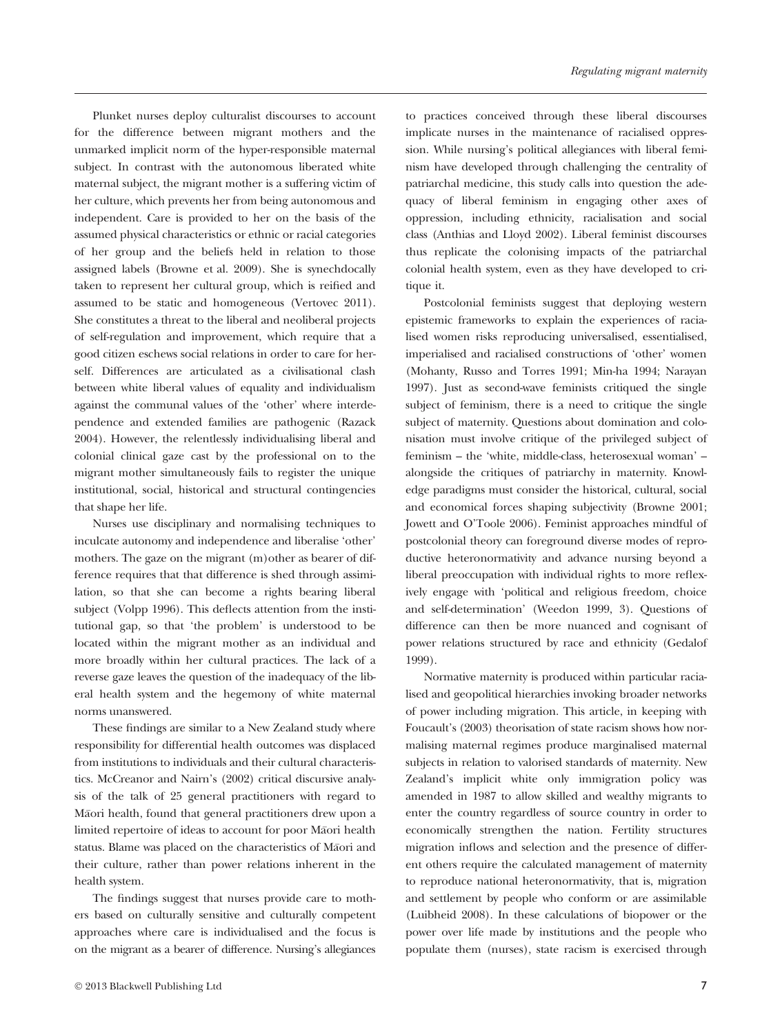Plunket nurses deploy culturalist discourses to account for the difference between migrant mothers and the unmarked implicit norm of the hyper-responsible maternal subject. In contrast with the autonomous liberated white maternal subject, the migrant mother is a suffering victim of her culture, which prevents her from being autonomous and independent. Care is provided to her on the basis of the assumed physical characteristics or ethnic or racial categories of her group and the beliefs held in relation to those assigned labels (Browne et al. 2009). She is synechdocally taken to represent her cultural group, which is reified and assumed to be static and homogeneous (Vertovec 2011). She constitutes a threat to the liberal and neoliberal projects of self-regulation and improvement, which require that a good citizen eschews social relations in order to care for herself. Differences are articulated as a civilisational clash between white liberal values of equality and individualism against the communal values of the 'other' where interdependence and extended families are pathogenic (Razack 2004). However, the relentlessly individualising liberal and colonial clinical gaze cast by the professional on to the migrant mother simultaneously fails to register the unique institutional, social, historical and structural contingencies that shape her life.

Nurses use disciplinary and normalising techniques to inculcate autonomy and independence and liberalise 'other' mothers. The gaze on the migrant (m)other as bearer of difference requires that that difference is shed through assimilation, so that she can become a rights bearing liberal subject (Volpp 1996). This deflects attention from the institutional gap, so that 'the problem' is understood to be located within the migrant mother as an individual and more broadly within her cultural practices. The lack of a reverse gaze leaves the question of the inadequacy of the liberal health system and the hegemony of white maternal norms unanswered.

These findings are similar to a New Zealand study where responsibility for differential health outcomes was displaced from institutions to individuals and their cultural characteristics. McCreanor and Nairn's (2002) critical discursive analysis of the talk of 25 general practitioners with regard to Māori health, found that general practitioners drew upon a limited repertoire of ideas to account for poor Māori health status. Blame was placed on the characteristics of Māori and their culture, rather than power relations inherent in the health system.

The findings suggest that nurses provide care to mothers based on culturally sensitive and culturally competent approaches where care is individualised and the focus is on the migrant as a bearer of difference. Nursing's allegiances

to practices conceived through these liberal discourses implicate nurses in the maintenance of racialised oppression. While nursing's political allegiances with liberal feminism have developed through challenging the centrality of patriarchal medicine, this study calls into question the adequacy of liberal feminism in engaging other axes of oppression, including ethnicity, racialisation and social class (Anthias and Lloyd 2002). Liberal feminist discourses thus replicate the colonising impacts of the patriarchal colonial health system, even as they have developed to critique it.

Postcolonial feminists suggest that deploying western epistemic frameworks to explain the experiences of racialised women risks reproducing universalised, essentialised, imperialised and racialised constructions of 'other' women (Mohanty, Russo and Torres 1991; Min-ha 1994; Narayan 1997). Just as second-wave feminists critiqued the single subject of feminism, there is a need to critique the single subject of maternity. Questions about domination and colonisation must involve critique of the privileged subject of feminism – the 'white, middle-class, heterosexual woman' – alongside the critiques of patriarchy in maternity. Knowledge paradigms must consider the historical, cultural, social and economical forces shaping subjectivity (Browne 2001; Jowett and O'Toole 2006). Feminist approaches mindful of postcolonial theory can foreground diverse modes of reproductive heteronormativity and advance nursing beyond a liberal preoccupation with individual rights to more reflexively engage with 'political and religious freedom, choice and self-determination' (Weedon 1999, 3). Questions of difference can then be more nuanced and cognisant of power relations structured by race and ethnicity (Gedalof 1999).

Normative maternity is produced within particular racialised and geopolitical hierarchies invoking broader networks of power including migration. This article, in keeping with Foucault's (2003) theorisation of state racism shows how normalising maternal regimes produce marginalised maternal subjects in relation to valorised standards of maternity. New Zealand's implicit white only immigration policy was amended in 1987 to allow skilled and wealthy migrants to enter the country regardless of source country in order to economically strengthen the nation. Fertility structures migration inflows and selection and the presence of different others require the calculated management of maternity to reproduce national heteronormativity, that is, migration and settlement by people who conform or are assimilable (Luibheid 2008). In these calculations of biopower or the power over life made by institutions and the people who populate them (nurses), state racism is exercised through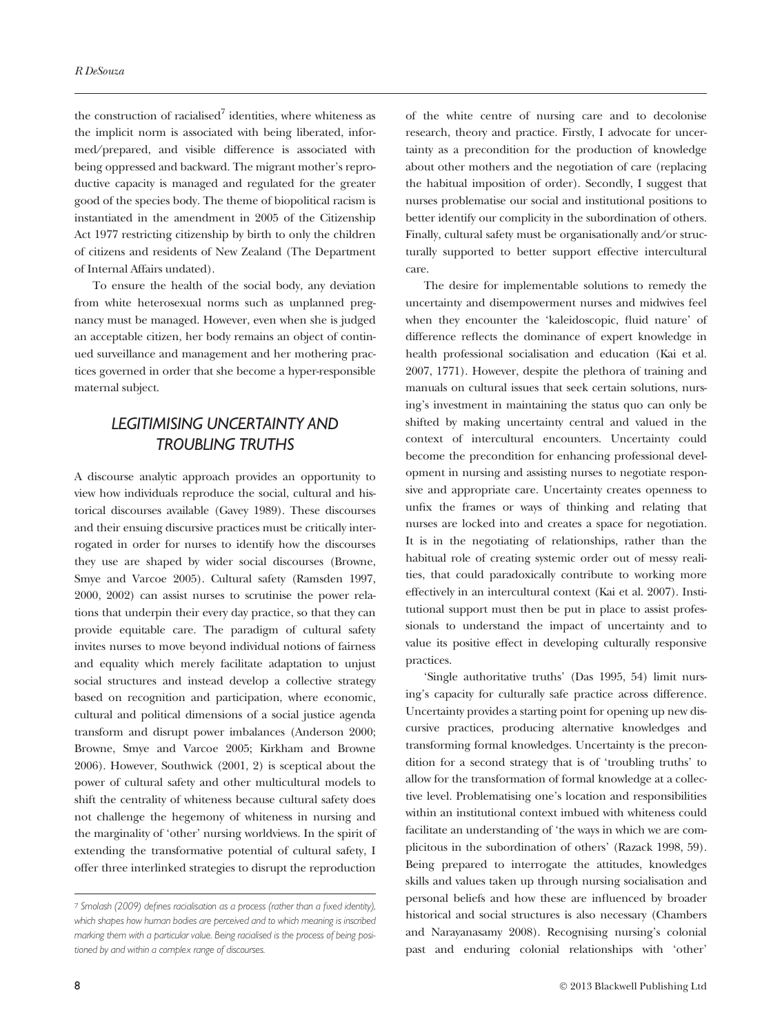the construction of racialised<sup>7</sup> identities, where whiteness as the implicit norm is associated with being liberated, informed⁄prepared, and visible difference is associated with being oppressed and backward. The migrant mother's reproductive capacity is managed and regulated for the greater good of the species body. The theme of biopolitical racism is instantiated in the amendment in 2005 of the Citizenship Act 1977 restricting citizenship by birth to only the children of citizens and residents of New Zealand (The Department of Internal Affairs undated).

To ensure the health of the social body, any deviation from white heterosexual norms such as unplanned pregnancy must be managed. However, even when she is judged an acceptable citizen, her body remains an object of continued surveillance and management and her mothering practices governed in order that she become a hyper-responsible maternal subject.

# LEGITIMISING UNCERTAINTY AND TROUBLING TRUTHS

A discourse analytic approach provides an opportunity to view how individuals reproduce the social, cultural and historical discourses available (Gavey 1989). These discourses and their ensuing discursive practices must be critically interrogated in order for nurses to identify how the discourses they use are shaped by wider social discourses (Browne, Smye and Varcoe 2005). Cultural safety (Ramsden 1997, 2000, 2002) can assist nurses to scrutinise the power relations that underpin their every day practice, so that they can provide equitable care. The paradigm of cultural safety invites nurses to move beyond individual notions of fairness and equality which merely facilitate adaptation to unjust social structures and instead develop a collective strategy based on recognition and participation, where economic, cultural and political dimensions of a social justice agenda transform and disrupt power imbalances (Anderson 2000; Browne, Smye and Varcoe 2005; Kirkham and Browne 2006). However, Southwick (2001, 2) is sceptical about the power of cultural safety and other multicultural models to shift the centrality of whiteness because cultural safety does not challenge the hegemony of whiteness in nursing and the marginality of 'other' nursing worldviews. In the spirit of extending the transformative potential of cultural safety, I offer three interlinked strategies to disrupt the reproduction of the white centre of nursing care and to decolonise research, theory and practice. Firstly, I advocate for uncertainty as a precondition for the production of knowledge about other mothers and the negotiation of care (replacing the habitual imposition of order). Secondly, I suggest that nurses problematise our social and institutional positions to better identify our complicity in the subordination of others. Finally, cultural safety must be organisationally and/or structurally supported to better support effective intercultural care.

The desire for implementable solutions to remedy the uncertainty and disempowerment nurses and midwives feel when they encounter the 'kaleidoscopic, fluid nature' of difference reflects the dominance of expert knowledge in health professional socialisation and education (Kai et al. 2007, 1771). However, despite the plethora of training and manuals on cultural issues that seek certain solutions, nursing's investment in maintaining the status quo can only be shifted by making uncertainty central and valued in the context of intercultural encounters. Uncertainty could become the precondition for enhancing professional development in nursing and assisting nurses to negotiate responsive and appropriate care. Uncertainty creates openness to unfix the frames or ways of thinking and relating that nurses are locked into and creates a space for negotiation. It is in the negotiating of relationships, rather than the habitual role of creating systemic order out of messy realities, that could paradoxically contribute to working more effectively in an intercultural context (Kai et al. 2007). Institutional support must then be put in place to assist professionals to understand the impact of uncertainty and to value its positive effect in developing culturally responsive practices.

'Single authoritative truths' (Das 1995, 54) limit nursing's capacity for culturally safe practice across difference. Uncertainty provides a starting point for opening up new discursive practices, producing alternative knowledges and transforming formal knowledges. Uncertainty is the precondition for a second strategy that is of 'troubling truths' to allow for the transformation of formal knowledge at a collective level. Problematising one's location and responsibilities within an institutional context imbued with whiteness could facilitate an understanding of 'the ways in which we are complicitous in the subordination of others' (Razack 1998, 59). Being prepared to interrogate the attitudes, knowledges skills and values taken up through nursing socialisation and personal beliefs and how these are influenced by broader historical and social structures is also necessary (Chambers and Narayanasamy 2008). Recognising nursing's colonial past and enduring colonial relationships with 'other'

<sup>7</sup> Smolash (2009) defines racialisation as a process (rather than a fixed identity), which shapes how human bodies are perceived and to which meaning is inscribed marking them with a particular value. Being racialised is the process of being positioned by and within a complex range of discourses.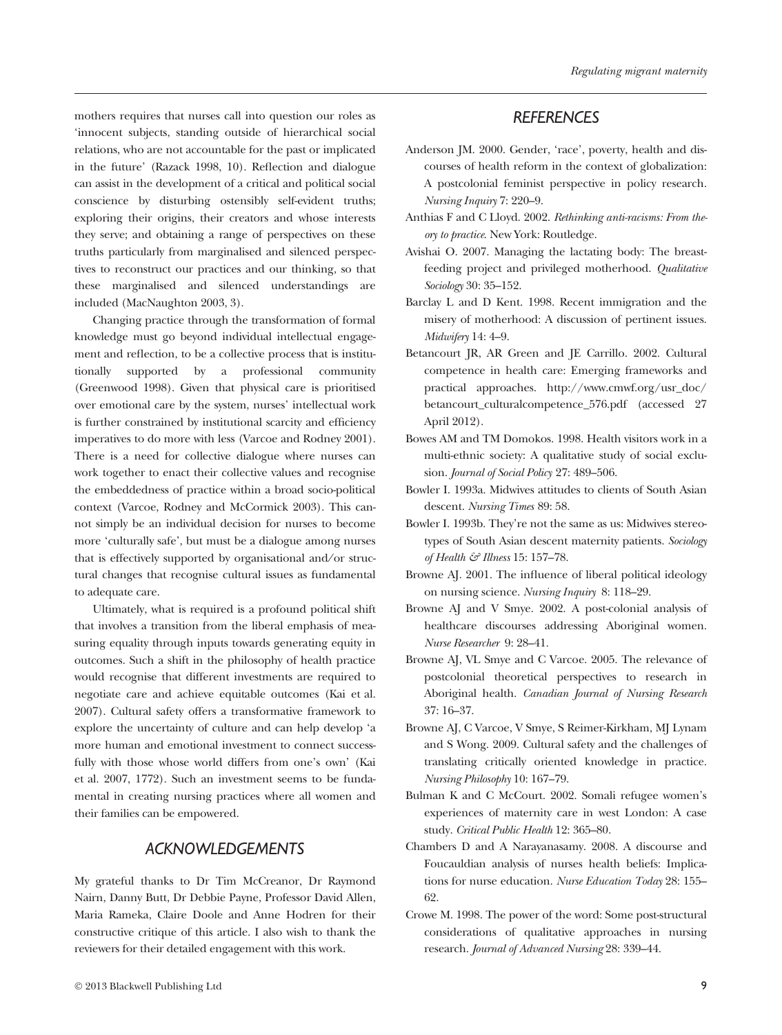mothers requires that nurses call into question our roles as 'innocent subjects, standing outside of hierarchical social relations, who are not accountable for the past or implicated in the future' (Razack 1998, 10). Reflection and dialogue can assist in the development of a critical and political social conscience by disturbing ostensibly self-evident truths; exploring their origins, their creators and whose interests they serve; and obtaining a range of perspectives on these truths particularly from marginalised and silenced perspectives to reconstruct our practices and our thinking, so that these marginalised and silenced understandings are included (MacNaughton 2003, 3).

Changing practice through the transformation of formal knowledge must go beyond individual intellectual engagement and reflection, to be a collective process that is institutionally supported by a professional community (Greenwood 1998). Given that physical care is prioritised over emotional care by the system, nurses' intellectual work is further constrained by institutional scarcity and efficiency imperatives to do more with less (Varcoe and Rodney 2001). There is a need for collective dialogue where nurses can work together to enact their collective values and recognise the embeddedness of practice within a broad socio-political context (Varcoe, Rodney and McCormick 2003). This cannot simply be an individual decision for nurses to become more 'culturally safe', but must be a dialogue among nurses that is effectively supported by organisational and⁄ or structural changes that recognise cultural issues as fundamental to adequate care.

Ultimately, what is required is a profound political shift that involves a transition from the liberal emphasis of measuring equality through inputs towards generating equity in outcomes. Such a shift in the philosophy of health practice would recognise that different investments are required to negotiate care and achieve equitable outcomes (Kai et al. 2007). Cultural safety offers a transformative framework to explore the uncertainty of culture and can help develop 'a more human and emotional investment to connect successfully with those whose world differs from one's own' (Kai et al. 2007, 1772). Such an investment seems to be fundamental in creating nursing practices where all women and their families can be empowered.

### ACKNOWLEDGEMENTS

My grateful thanks to Dr Tim McCreanor, Dr Raymond Nairn, Danny Butt, Dr Debbie Payne, Professor David Allen, Maria Rameka, Claire Doole and Anne Hodren for their constructive critique of this article. I also wish to thank the reviewers for their detailed engagement with this work.

#### **REFERENCES**

- Anderson JM. 2000. Gender, 'race', poverty, health and discourses of health reform in the context of globalization: A postcolonial feminist perspective in policy research. Nursing Inquiry 7: 220–9.
- Anthias F and C Lloyd. 2002. Rethinking anti-racisms: From theory to practice. New York: Routledge.
- Avishai O. 2007. Managing the lactating body: The breastfeeding project and privileged motherhood. Qualitative Sociology 30: 35–152.
- Barclay L and D Kent. 1998. Recent immigration and the misery of motherhood: A discussion of pertinent issues. Midwifery 14: 4–9.
- Betancourt JR, AR Green and JE Carrillo. 2002. Cultural competence in health care: Emerging frameworks and practical approaches. http://www.cmwf.org/usr\_doc/ betancourt\_culturalcompetence\_576.pdf (accessed 27 April 2012).
- Bowes AM and TM Domokos. 1998. Health visitors work in a multi-ethnic society: A qualitative study of social exclusion. Journal of Social Policy 27: 489–506.
- Bowler I. 1993a. Midwives attitudes to clients of South Asian descent. Nursing Times 89: 58.
- Bowler I. 1993b. They're not the same as us: Midwives stereotypes of South Asian descent maternity patients. Sociology of Health  $\mathcal G$  Illness 15: 157–78.
- Browne AJ. 2001. The influence of liberal political ideology on nursing science. Nursing Inquiry 8: 118–29.
- Browne AJ and V Smye. 2002. A post-colonial analysis of healthcare discourses addressing Aboriginal women. Nurse Researcher 9: 28–41.
- Browne AJ, VL Smye and C Varcoe. 2005. The relevance of postcolonial theoretical perspectives to research in Aboriginal health. Canadian Journal of Nursing Research 37: 16–37.
- Browne AJ, C Varcoe, V Smye, S Reimer-Kirkham, MJ Lynam and S Wong. 2009. Cultural safety and the challenges of translating critically oriented knowledge in practice. Nursing Philosophy 10: 167–79.
- Bulman K and C McCourt. 2002. Somali refugee women's experiences of maternity care in west London: A case study. Critical Public Health 12: 365–80.
- Chambers D and A Narayanasamy. 2008. A discourse and Foucauldian analysis of nurses health beliefs: Implications for nurse education. Nurse Education Today 28: 155– 62.
- Crowe M. 1998. The power of the word: Some post-structural considerations of qualitative approaches in nursing research. Journal of Advanced Nursing 28: 339–44.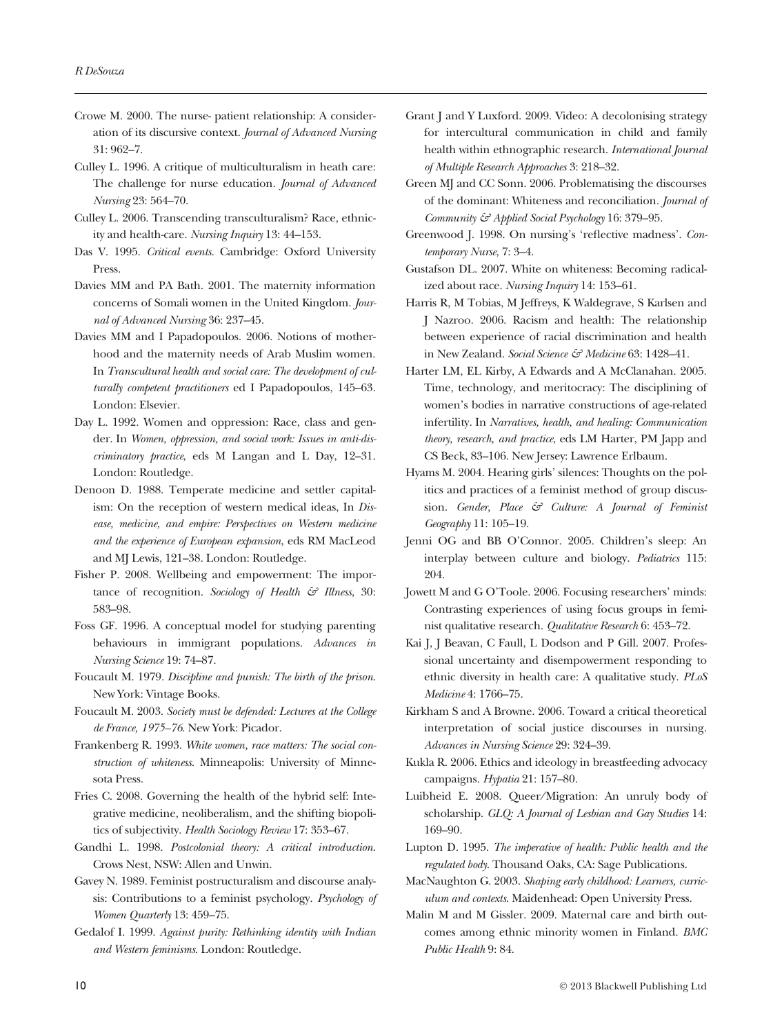- Crowe M. 2000. The nurse- patient relationship: A consideration of its discursive context. Journal of Advanced Nursing 31: 962–7.
- Culley L. 1996. A critique of multiculturalism in heath care: The challenge for nurse education. Journal of Advanced Nursing 23: 564–70.
- Culley L. 2006. Transcending transculturalism? Race, ethnicity and health-care. Nursing Inquiry 13: 44–153.
- Das V. 1995. Critical events. Cambridge: Oxford University Press.
- Davies MM and PA Bath. 2001. The maternity information concerns of Somali women in the United Kingdom. Journal of Advanced Nursing 36: 237–45.
- Davies MM and I Papadopoulos. 2006. Notions of motherhood and the maternity needs of Arab Muslim women. In Transcultural health and social care: The development of culturally competent practitioners ed I Papadopoulos, 145–63. London: Elsevier.
- Day L. 1992. Women and oppression: Race, class and gender. In Women, oppression, and social work: Issues in anti-discriminatory practice, eds M Langan and L Day, 12–31. London: Routledge.
- Denoon D. 1988. Temperate medicine and settler capitalism: On the reception of western medical ideas, In Disease, medicine, and empire: Perspectives on Western medicine and the experience of European expansion, eds RM MacLeod and MJ Lewis, 121–38. London: Routledge.
- Fisher P. 2008. Wellbeing and empowerment: The importance of recognition. Sociology of Health  $\mathcal{F}$  Illness, 30: 583–98.
- Foss GF. 1996. A conceptual model for studying parenting behaviours in immigrant populations. Advances in Nursing Science 19: 74–87.
- Foucault M. 1979. Discipline and punish: The birth of the prison. New York: Vintage Books.
- Foucault M. 2003. Society must be defended: Lectures at the College de France, 1975–76. New York: Picador.
- Frankenberg R. 1993. White women, race matters: The social construction of whiteness. Minneapolis: University of Minnesota Press.
- Fries C. 2008. Governing the health of the hybrid self: Integrative medicine, neoliberalism, and the shifting biopolitics of subjectivity. Health Sociology Review 17: 353–67.
- Gandhi L. 1998. Postcolonial theory: A critical introduction. Crows Nest, NSW: Allen and Unwin.
- Gavey N. 1989. Feminist postructuralism and discourse analysis: Contributions to a feminist psychology. Psychology of Women Quarterly 13: 459–75.
- Gedalof I. 1999. Against purity: Rethinking identity with Indian and Western feminisms. London: Routledge.
- Grant J and Y Luxford. 2009. Video: A decolonising strategy for intercultural communication in child and family health within ethnographic research. International Journal of Multiple Research Approaches 3: 218–32.
- Green MJ and CC Sonn. 2006. Problematising the discourses of the dominant: Whiteness and reconciliation. Journal of Community & Applied Social Psychology 16: 379-95.
- Greenwood J. 1998. On nursing's 'reflective madness'. Contemporary Nurse, 7: 3–4.
- Gustafson DL. 2007. White on whiteness: Becoming radicalized about race. Nursing Inquiry 14: 153-61.
- Harris R, M Tobias, M Jeffreys, K Waldegrave, S Karlsen and J Nazroo. 2006. Racism and health: The relationship between experience of racial discrimination and health in New Zealand. Social Science & Medicine 63: 1428-41.
- Harter LM, EL Kirby, A Edwards and A McClanahan. 2005. Time, technology, and meritocracy: The disciplining of women's bodies in narrative constructions of age-related infertility. In Narratives, health, and healing: Communication theory, research, and practice, eds LM Harter, PM Japp and CS Beck, 83–106. New Jersey: Lawrence Erlbaum.
- Hyams M. 2004. Hearing girls' silences: Thoughts on the politics and practices of a feminist method of group discussion. Gender, Place  $G^S$  Culture: A Journal of Feminist Geography 11: 105–19.
- Jenni OG and BB O'Connor. 2005. Children's sleep: An interplay between culture and biology. Pediatrics 115: 204.
- Jowett M and G O'Toole. 2006. Focusing researchers' minds: Contrasting experiences of using focus groups in feminist qualitative research. Qualitative Research 6: 453–72.
- Kai J, J Beavan, C Faull, L Dodson and P Gill. 2007. Professional uncertainty and disempowerment responding to ethnic diversity in health care: A qualitative study. PLoS Medicine 4: 1766–75.
- Kirkham S and A Browne. 2006. Toward a critical theoretical interpretation of social justice discourses in nursing. Advances in Nursing Science 29: 324–39.
- Kukla R. 2006. Ethics and ideology in breastfeeding advocacy campaigns. Hypatia 21: 157–80.
- Luibheid E. 2008. Queer⁄Migration: An unruly body of scholarship. GLQ: A Journal of Lesbian and Gay Studies 14: 169–90.
- Lupton D. 1995. The imperative of health: Public health and the regulated body. Thousand Oaks, CA: Sage Publications.
- MacNaughton G. 2003. Shaping early childhood: Learners, curriculum and contexts. Maidenhead: Open University Press.
- Malin M and M Gissler. 2009. Maternal care and birth outcomes among ethnic minority women in Finland. BMC Public Health 9: 84.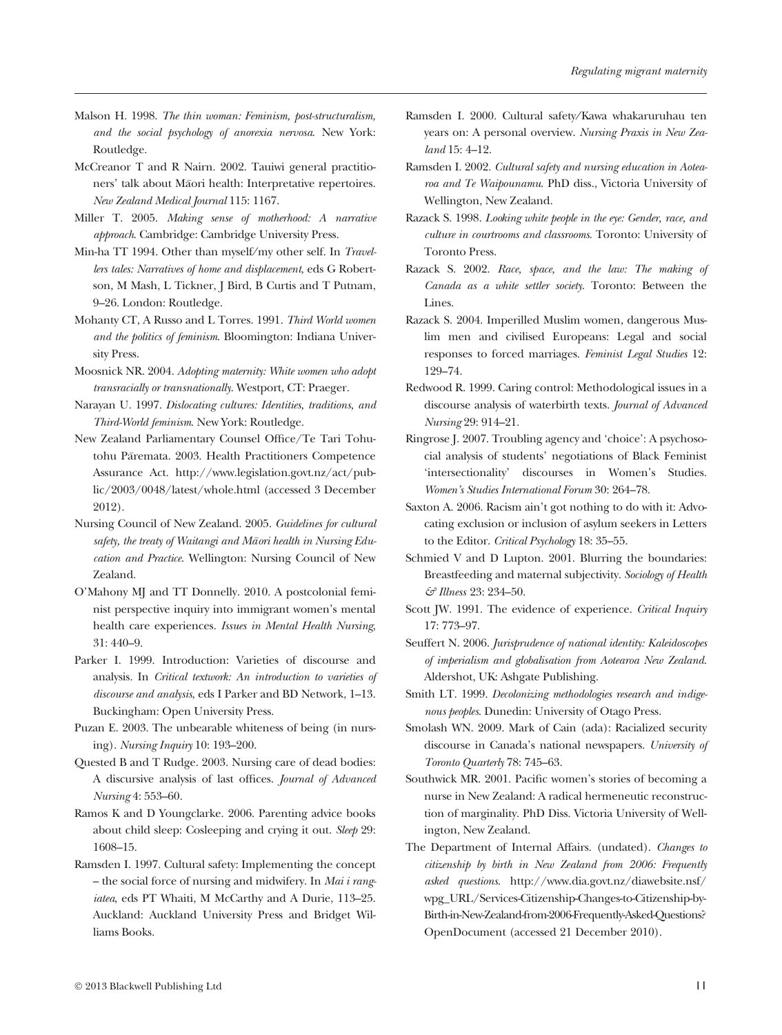- Malson H. 1998. The thin woman: Feminism, post-structuralism, and the social psychology of anorexia nervosa. New York: Routledge.
- McCreanor T and R Nairn. 2002. Tauiwi general practitioners' talk about Māori health: Interpretative repertoires. New Zealand Medical Journal 115: 1167.
- Miller T. 2005. Making sense of motherhood: A narrative approach. Cambridge: Cambridge University Press.
- Min-ha TT 1994. Other than myself⁄my other self. In Travellers tales: Narratives of home and displacement, eds G Robertson, M Mash, L Tickner, J Bird, B Curtis and T Putnam, 9–26. London: Routledge.
- Mohanty CT, A Russo and L Torres. 1991. Third World women and the politics of feminism. Bloomington: Indiana University Press.
- Moosnick NR. 2004. Adopting maternity: White women who adopt transracially or transnationally. Westport, CT: Praeger.
- Narayan U. 1997. Dislocating cultures: Identities, traditions, and Third-World feminism. New York: Routledge.
- New Zealand Parliamentary Counsel Office/Te Tari Tohutohu Pāremata. 2003. Health Practitioners Competence Assurance Act. http://www.legislation.govt.nz/act/public/2003/0048/latest/whole.html (accessed 3 December 2012).
- Nursing Council of New Zealand. 2005. Guidelines for cultural safety, the treaty of Waitangi and Māori health in Nursing Education and Practice. Wellington: Nursing Council of New Zealand.
- O'Mahony MJ and TT Donnelly. 2010. A postcolonial feminist perspective inquiry into immigrant women's mental health care experiences. Issues in Mental Health Nursing, 31: 440–9.
- Parker I. 1999. Introduction: Varieties of discourse and analysis. In Critical textwork: An introduction to varieties of discourse and analysis, eds I Parker and BD Network, 1–13. Buckingham: Open University Press.
- Puzan E. 2003. The unbearable whiteness of being (in nursing). Nursing Inquiry 10: 193–200.
- Quested B and T Rudge. 2003. Nursing care of dead bodies: A discursive analysis of last offices. Journal of Advanced Nursing 4: 553–60.
- Ramos K and D Youngclarke. 2006. Parenting advice books about child sleep: Cosleeping and crying it out. Sleep 29: 1608–15.
- Ramsden I. 1997. Cultural safety: Implementing the concept – the social force of nursing and midwifery. In Mai i rangiatea, eds PT Whaiti, M McCarthy and A Durie, 113–25. Auckland: Auckland University Press and Bridget Williams Books.
- Ramsden I. 2000. Cultural safety ⁄Kawa whakaruruhau ten years on: A personal overview. Nursing Praxis in New Zealand 15: 4–12.
- Ramsden I. 2002. Cultural safety and nursing education in Aotearoa and Te Waipounamu. PhD diss., Victoria University of Wellington, New Zealand.
- Razack S. 1998. Looking white people in the eye: Gender, race, and culture in courtrooms and classrooms. Toronto: University of Toronto Press.
- Razack S. 2002. Race, space, and the law: The making of Canada as a white settler society. Toronto: Between the Lines.
- Razack S. 2004. Imperilled Muslim women, dangerous Muslim men and civilised Europeans: Legal and social responses to forced marriages. Feminist Legal Studies 12: 129–74.
- Redwood R. 1999. Caring control: Methodological issues in a discourse analysis of waterbirth texts. Journal of Advanced Nursing 29: 914–21.
- Ringrose J. 2007. Troubling agency and 'choice': A psychosocial analysis of students' negotiations of Black Feminist 'intersectionality' discourses in Women's Studies. Women's Studies International Forum 30: 264–78.
- Saxton A. 2006. Racism ain't got nothing to do with it: Advocating exclusion or inclusion of asylum seekers in Letters to the Editor. Critical Psychology 18: 35–55.
- Schmied V and D Lupton. 2001. Blurring the boundaries: Breastfeeding and maternal subjectivity. Sociology of Health & Illness 23: 234–50.
- Scott JW. 1991. The evidence of experience. Critical Inquiry 17: 773–97.
- Seuffert N. 2006. Jurisprudence of national identity: Kaleidoscopes of imperialism and globalisation from Aotearoa New Zealand. Aldershot, UK: Ashgate Publishing.
- Smith LT. 1999. Decolonizing methodologies research and indigenous peoples. Dunedin: University of Otago Press.
- Smolash WN. 2009. Mark of Cain (ada): Racialized security discourse in Canada's national newspapers. University of Toronto Quarterly 78: 745–63.
- Southwick MR. 2001. Pacific women's stories of becoming a nurse in New Zealand: A radical hermeneutic reconstruction of marginality. PhD Diss. Victoria University of Wellington, New Zealand.
- The Department of Internal Affairs. (undated). Changes to citizenship by birth in New Zealand from 2006: Frequently asked questions. http://www.dia.govt.nz/diawebsite.nsf/ wpg\_URL/Services-Citizenship-Changes-to-Citizenship-by-Birth-in-New-Zealand-from-2006-Frequently-Asked-Questions? OpenDocument (accessed 21 December 2010).